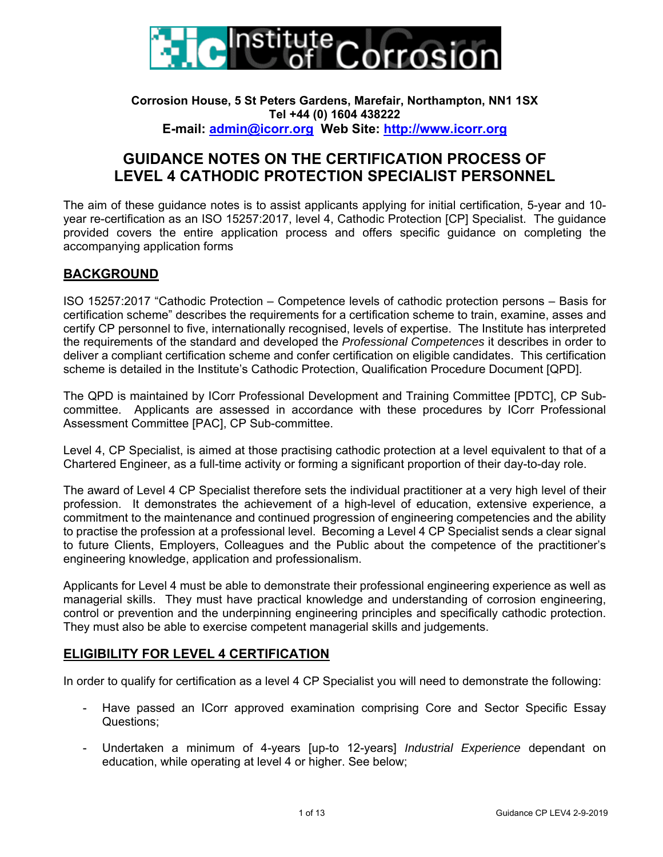

#### **Corrosion House, 5 St Peters Gardens, Marefair, Northampton, NN1 1SX Tel +44 (0) 1604 438222 E-mail: admin@icorr.org Web Site: http://www.icorr.org**

# **GUIDANCE NOTES ON THE CERTIFICATION PROCESS OF LEVEL 4 CATHODIC PROTECTION SPECIALIST PERSONNEL**

The aim of these guidance notes is to assist applicants applying for initial certification, 5-year and 10 year re-certification as an ISO 15257:2017, level 4, Cathodic Protection [CP] Specialist. The guidance provided covers the entire application process and offers specific guidance on completing the accompanying application forms

## **BACKGROUND**

ISO 15257:2017 "Cathodic Protection – Competence levels of cathodic protection persons – Basis for certification scheme" describes the requirements for a certification scheme to train, examine, asses and certify CP personnel to five, internationally recognised, levels of expertise. The Institute has interpreted the requirements of the standard and developed the *Professional Competences* it describes in order to deliver a compliant certification scheme and confer certification on eligible candidates. This certification scheme is detailed in the Institute's Cathodic Protection, Qualification Procedure Document [QPD].

The QPD is maintained by ICorr Professional Development and Training Committee [PDTC], CP Subcommittee. Applicants are assessed in accordance with these procedures by ICorr Professional Assessment Committee [PAC], CP Sub-committee.

Level 4, CP Specialist, is aimed at those practising cathodic protection at a level equivalent to that of a Chartered Engineer, as a full-time activity or forming a significant proportion of their day-to-day role.

The award of Level 4 CP Specialist therefore sets the individual practitioner at a very high level of their profession. It demonstrates the achievement of a high-level of education, extensive experience, a commitment to the maintenance and continued progression of engineering competencies and the ability to practise the profession at a professional level. Becoming a Level 4 CP Specialist sends a clear signal to future Clients, Employers, Colleagues and the Public about the competence of the practitioner's engineering knowledge, application and professionalism.

Applicants for Level 4 must be able to demonstrate their professional engineering experience as well as managerial skills. They must have practical knowledge and understanding of corrosion engineering, control or prevention and the underpinning engineering principles and specifically cathodic protection. They must also be able to exercise competent managerial skills and judgements.

# **ELIGIBILITY FOR LEVEL 4 CERTIFICATION**

In order to qualify for certification as a level 4 CP Specialist you will need to demonstrate the following:

- Have passed an ICorr approved examination comprising Core and Sector Specific Essay Questions;
- Undertaken a minimum of 4-years [up-to 12-years] *Industrial Experience* dependant on education, while operating at level 4 or higher. See below;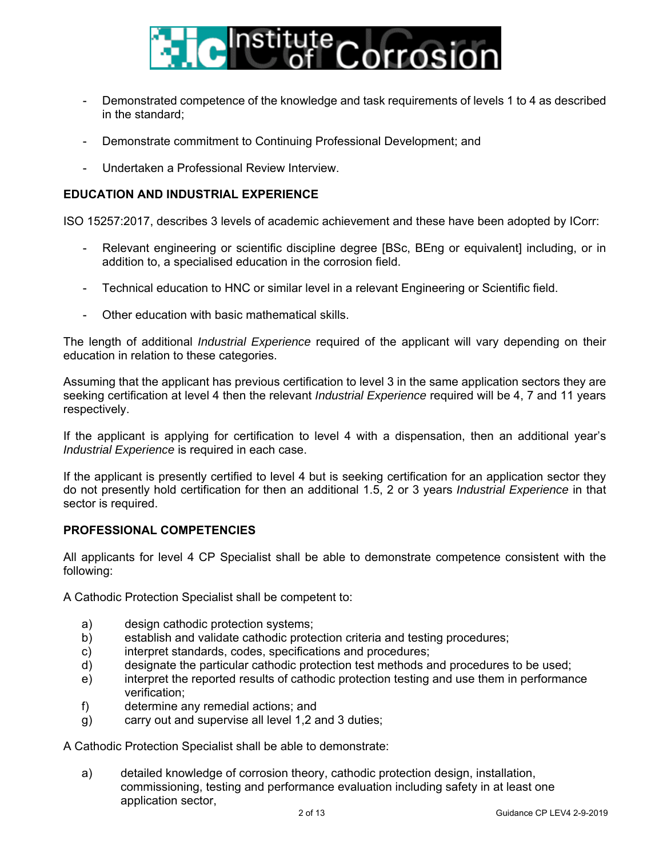

- Demonstrated competence of the knowledge and task requirements of levels 1 to 4 as described in the standard;
- Demonstrate commitment to Continuing Professional Development; and
- Undertaken a Professional Review Interview.

#### **EDUCATION AND INDUSTRIAL EXPERIENCE**

ISO 15257:2017, describes 3 levels of academic achievement and these have been adopted by ICorr:

- Relevant engineering or scientific discipline degree [BSc, BEng or equivalent] including, or in addition to, a specialised education in the corrosion field.
- Technical education to HNC or similar level in a relevant Engineering or Scientific field.
- Other education with basic mathematical skills.

The length of additional *Industrial Experience* required of the applicant will vary depending on their education in relation to these categories.

Assuming that the applicant has previous certification to level 3 in the same application sectors they are seeking certification at level 4 then the relevant *Industrial Experience* required will be 4, 7 and 11 years respectively.

If the applicant is applying for certification to level 4 with a dispensation, then an additional year's *Industrial Experience* is required in each case.

If the applicant is presently certified to level 4 but is seeking certification for an application sector they do not presently hold certification for then an additional 1.5, 2 or 3 years *Industrial Experience* in that sector is required.

#### **PROFESSIONAL COMPETENCIES**

All applicants for level 4 CP Specialist shall be able to demonstrate competence consistent with the following:

A Cathodic Protection Specialist shall be competent to:

- a) design cathodic protection systems;
- b) establish and validate cathodic protection criteria and testing procedures;
- c) interpret standards, codes, specifications and procedures;
- d) designate the particular cathodic protection test methods and procedures to be used;
- e) interpret the reported results of cathodic protection testing and use them in performance verification;
- f) determine any remedial actions; and
- g) carry out and supervise all level 1,2 and 3 duties;

A Cathodic Protection Specialist shall be able to demonstrate:

a) detailed knowledge of corrosion theory, cathodic protection design, installation, commissioning, testing and performance evaluation including safety in at least one application sector,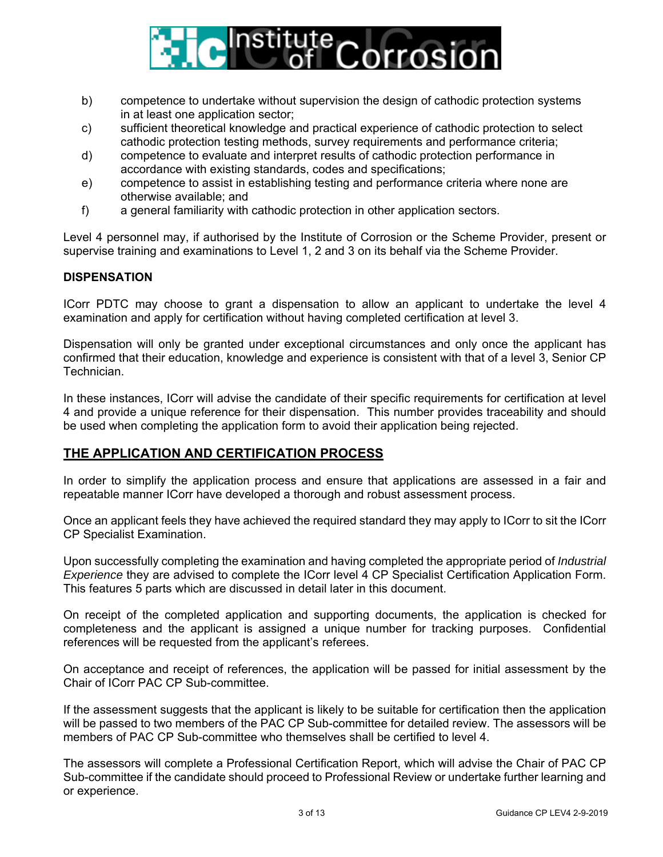

- b) competence to undertake without supervision the design of cathodic protection systems in at least one application sector;
- c) sufficient theoretical knowledge and practical experience of cathodic protection to select cathodic protection testing methods, survey requirements and performance criteria;
- d) competence to evaluate and interpret results of cathodic protection performance in accordance with existing standards, codes and specifications;
- e) competence to assist in establishing testing and performance criteria where none are otherwise available; and
- f) a general familiarity with cathodic protection in other application sectors.

Level 4 personnel may, if authorised by the Institute of Corrosion or the Scheme Provider, present or supervise training and examinations to Level 1, 2 and 3 on its behalf via the Scheme Provider.

#### **DISPENSATION**

ICorr PDTC may choose to grant a dispensation to allow an applicant to undertake the level 4 examination and apply for certification without having completed certification at level 3.

Dispensation will only be granted under exceptional circumstances and only once the applicant has confirmed that their education, knowledge and experience is consistent with that of a level 3, Senior CP Technician.

In these instances, ICorr will advise the candidate of their specific requirements for certification at level 4 and provide a unique reference for their dispensation. This number provides traceability and should be used when completing the application form to avoid their application being rejected.

## **THE APPLICATION AND CERTIFICATION PROCESS**

In order to simplify the application process and ensure that applications are assessed in a fair and repeatable manner ICorr have developed a thorough and robust assessment process.

Once an applicant feels they have achieved the required standard they may apply to ICorr to sit the ICorr CP Specialist Examination.

Upon successfully completing the examination and having completed the appropriate period of *Industrial Experience* they are advised to complete the ICorr level 4 CP Specialist Certification Application Form. This features 5 parts which are discussed in detail later in this document.

On receipt of the completed application and supporting documents, the application is checked for completeness and the applicant is assigned a unique number for tracking purposes. Confidential references will be requested from the applicant's referees.

On acceptance and receipt of references, the application will be passed for initial assessment by the Chair of ICorr PAC CP Sub-committee.

If the assessment suggests that the applicant is likely to be suitable for certification then the application will be passed to two members of the PAC CP Sub-committee for detailed review. The assessors will be members of PAC CP Sub-committee who themselves shall be certified to level 4.

The assessors will complete a Professional Certification Report, which will advise the Chair of PAC CP Sub-committee if the candidate should proceed to Professional Review or undertake further learning and or experience.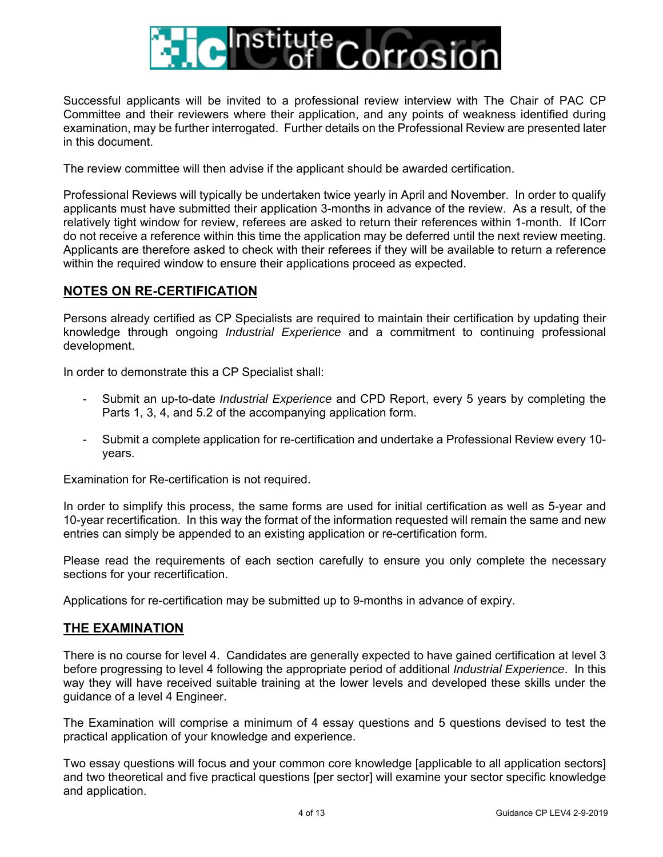

Successful applicants will be invited to a professional review interview with The Chair of PAC CP Committee and their reviewers where their application, and any points of weakness identified during examination, may be further interrogated. Further details on the Professional Review are presented later in this document.

The review committee will then advise if the applicant should be awarded certification.

Professional Reviews will typically be undertaken twice yearly in April and November. In order to qualify applicants must have submitted their application 3-months in advance of the review. As a result, of the relatively tight window for review, referees are asked to return their references within 1-month. If ICorr do not receive a reference within this time the application may be deferred until the next review meeting. Applicants are therefore asked to check with their referees if they will be available to return a reference within the required window to ensure their applications proceed as expected.

### **NOTES ON RE-CERTIFICATION**

Persons already certified as CP Specialists are required to maintain their certification by updating their knowledge through ongoing *Industrial Experience* and a commitment to continuing professional development.

In order to demonstrate this a CP Specialist shall:

- Submit an up-to-date *Industrial Experience* and CPD Report, every 5 years by completing the Parts 1, 3, 4, and 5.2 of the accompanying application form.
- Submit a complete application for re-certification and undertake a Professional Review every 10 years.

Examination for Re-certification is not required.

In order to simplify this process, the same forms are used for initial certification as well as 5-year and 10-year recertification. In this way the format of the information requested will remain the same and new entries can simply be appended to an existing application or re-certification form.

Please read the requirements of each section carefully to ensure you only complete the necessary sections for your recertification.

Applications for re-certification may be submitted up to 9-months in advance of expiry.

#### **THE EXAMINATION**

There is no course for level 4. Candidates are generally expected to have gained certification at level 3 before progressing to level 4 following the appropriate period of additional *Industrial Experience*. In this way they will have received suitable training at the lower levels and developed these skills under the guidance of a level 4 Engineer.

The Examination will comprise a minimum of 4 essay questions and 5 questions devised to test the practical application of your knowledge and experience.

Two essay questions will focus and your common core knowledge [applicable to all application sectors] and two theoretical and five practical questions [per sector] will examine your sector specific knowledge and application.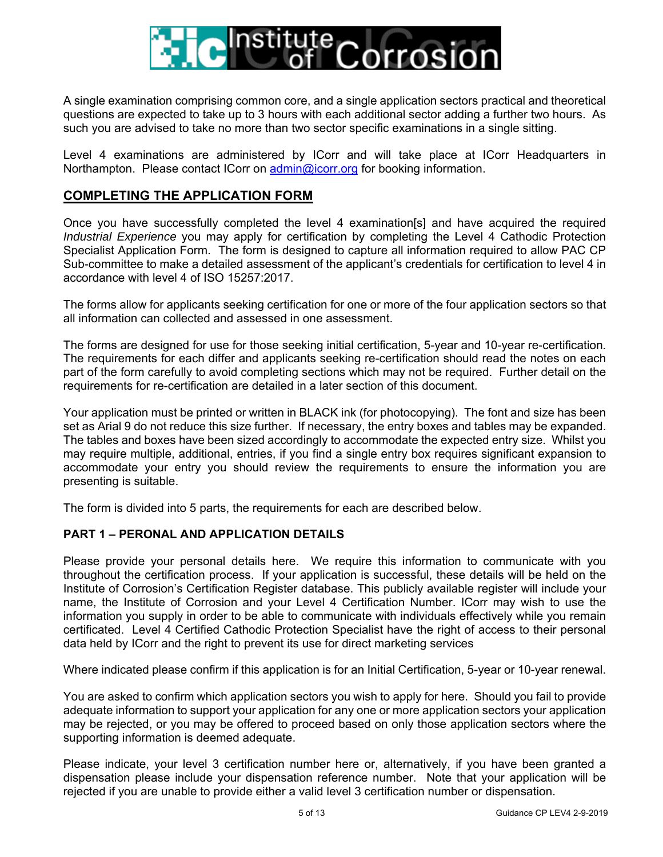

A single examination comprising common core, and a single application sectors practical and theoretical questions are expected to take up to 3 hours with each additional sector adding a further two hours. As such you are advised to take no more than two sector specific examinations in a single sitting.

Level 4 examinations are administered by ICorr and will take place at ICorr Headquarters in Northampton. Please contact ICorr on admin@icorr.org for booking information.

## **COMPLETING THE APPLICATION FORM**

Once you have successfully completed the level 4 examination[s] and have acquired the required *Industrial Experience* you may apply for certification by completing the Level 4 Cathodic Protection Specialist Application Form. The form is designed to capture all information required to allow PAC CP Sub-committee to make a detailed assessment of the applicant's credentials for certification to level 4 in accordance with level 4 of ISO 15257:2017.

The forms allow for applicants seeking certification for one or more of the four application sectors so that all information can collected and assessed in one assessment.

The forms are designed for use for those seeking initial certification, 5-year and 10-year re-certification. The requirements for each differ and applicants seeking re-certification should read the notes on each part of the form carefully to avoid completing sections which may not be required. Further detail on the requirements for re-certification are detailed in a later section of this document.

Your application must be printed or written in BLACK ink (for photocopying). The font and size has been set as Arial 9 do not reduce this size further. If necessary, the entry boxes and tables may be expanded. The tables and boxes have been sized accordingly to accommodate the expected entry size. Whilst you may require multiple, additional, entries, if you find a single entry box requires significant expansion to accommodate your entry you should review the requirements to ensure the information you are presenting is suitable.

The form is divided into 5 parts, the requirements for each are described below.

#### **PART 1 – PERONAL AND APPLICATION DETAILS**

Please provide your personal details here. We require this information to communicate with you throughout the certification process. If your application is successful, these details will be held on the Institute of Corrosion's Certification Register database. This publicly available register will include your name, the Institute of Corrosion and your Level 4 Certification Number. ICorr may wish to use the information you supply in order to be able to communicate with individuals effectively while you remain certificated. Level 4 Certified Cathodic Protection Specialist have the right of access to their personal data held by ICorr and the right to prevent its use for direct marketing services

Where indicated please confirm if this application is for an Initial Certification, 5-year or 10-year renewal.

You are asked to confirm which application sectors you wish to apply for here. Should you fail to provide adequate information to support your application for any one or more application sectors your application may be rejected, or you may be offered to proceed based on only those application sectors where the supporting information is deemed adequate.

Please indicate, your level 3 certification number here or, alternatively, if you have been granted a dispensation please include your dispensation reference number. Note that your application will be rejected if you are unable to provide either a valid level 3 certification number or dispensation.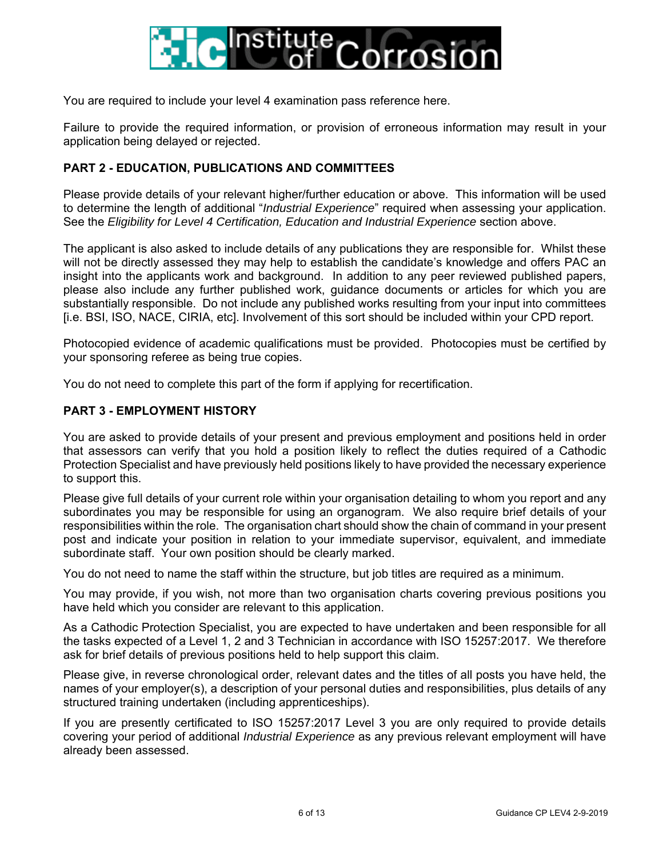

You are required to include your level 4 examination pass reference here.

Failure to provide the required information, or provision of erroneous information may result in your application being delayed or rejected.

#### **PART 2 - EDUCATION, PUBLICATIONS AND COMMITTEES**

Please provide details of your relevant higher/further education or above. This information will be used to determine the length of additional "*Industrial Experience*" required when assessing your application. See the *Eligibility for Level 4 Certification, Education and Industrial Experience* section above.

The applicant is also asked to include details of any publications they are responsible for. Whilst these will not be directly assessed they may help to establish the candidate's knowledge and offers PAC an insight into the applicants work and background. In addition to any peer reviewed published papers, please also include any further published work, guidance documents or articles for which you are substantially responsible. Do not include any published works resulting from your input into committees [i.e. BSI, ISO, NACE, CIRIA, etc]. Involvement of this sort should be included within your CPD report.

Photocopied evidence of academic qualifications must be provided. Photocopies must be certified by your sponsoring referee as being true copies.

You do not need to complete this part of the form if applying for recertification.

#### **PART 3 - EMPLOYMENT HISTORY**

You are asked to provide details of your present and previous employment and positions held in order that assessors can verify that you hold a position likely to reflect the duties required of a Cathodic Protection Specialist and have previously held positions likely to have provided the necessary experience to support this.

Please give full details of your current role within your organisation detailing to whom you report and any subordinates you may be responsible for using an organogram. We also require brief details of your responsibilities within the role. The organisation chart should show the chain of command in your present post and indicate your position in relation to your immediate supervisor, equivalent, and immediate subordinate staff. Your own position should be clearly marked.

You do not need to name the staff within the structure, but job titles are required as a minimum.

You may provide, if you wish, not more than two organisation charts covering previous positions you have held which you consider are relevant to this application.

As a Cathodic Protection Specialist, you are expected to have undertaken and been responsible for all the tasks expected of a Level 1, 2 and 3 Technician in accordance with ISO 15257:2017. We therefore ask for brief details of previous positions held to help support this claim.

Please give, in reverse chronological order, relevant dates and the titles of all posts you have held, the names of your employer(s), a description of your personal duties and responsibilities, plus details of any structured training undertaken (including apprenticeships).

If you are presently certificated to ISO 15257:2017 Level 3 you are only required to provide details covering your period of additional *Industrial Experience* as any previous relevant employment will have already been assessed.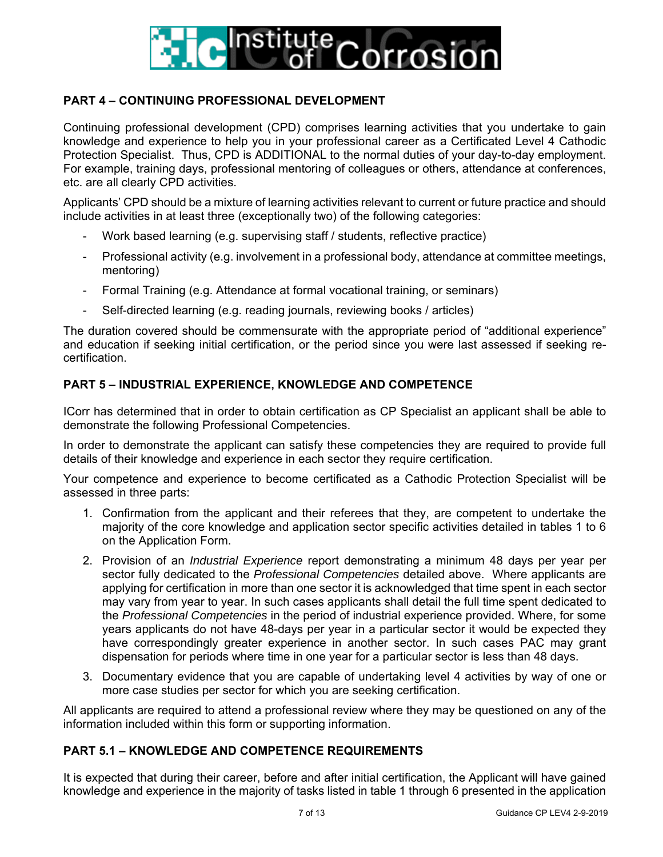

## **PART 4 – CONTINUING PROFESSIONAL DEVELOPMENT**

Continuing professional development (CPD) comprises learning activities that you undertake to gain knowledge and experience to help you in your professional career as a Certificated Level 4 Cathodic Protection Specialist. Thus, CPD is ADDITIONAL to the normal duties of your day-to-day employment. For example, training days, professional mentoring of colleagues or others, attendance at conferences, etc. are all clearly CPD activities.

Applicants' CPD should be a mixture of learning activities relevant to current or future practice and should include activities in at least three (exceptionally two) of the following categories:

- Work based learning (e.g. supervising staff / students, reflective practice)
- Professional activity (e.g. involvement in a professional body, attendance at committee meetings, mentoring)
- Formal Training (e.g. Attendance at formal vocational training, or seminars)
- Self-directed learning (e.g. reading journals, reviewing books / articles)

The duration covered should be commensurate with the appropriate period of "additional experience" and education if seeking initial certification, or the period since you were last assessed if seeking recertification.

#### **PART 5 – INDUSTRIAL EXPERIENCE, KNOWLEDGE AND COMPETENCE**

ICorr has determined that in order to obtain certification as CP Specialist an applicant shall be able to demonstrate the following Professional Competencies.

In order to demonstrate the applicant can satisfy these competencies they are required to provide full details of their knowledge and experience in each sector they require certification.

Your competence and experience to become certificated as a Cathodic Protection Specialist will be assessed in three parts:

- 1. Confirmation from the applicant and their referees that they, are competent to undertake the majority of the core knowledge and application sector specific activities detailed in tables 1 to 6 on the Application Form.
- 2. Provision of an *Industrial Experience* report demonstrating a minimum 48 days per year per sector fully dedicated to the *Professional Competencies* detailed above. Where applicants are applying for certification in more than one sector it is acknowledged that time spent in each sector may vary from year to year. In such cases applicants shall detail the full time spent dedicated to the *Professional Competencies* in the period of industrial experience provided. Where, for some years applicants do not have 48-days per year in a particular sector it would be expected they have correspondingly greater experience in another sector. In such cases PAC may grant dispensation for periods where time in one year for a particular sector is less than 48 days.
- 3. Documentary evidence that you are capable of undertaking level 4 activities by way of one or more case studies per sector for which you are seeking certification.

All applicants are required to attend a professional review where they may be questioned on any of the information included within this form or supporting information.

#### **PART 5.1 – KNOWLEDGE AND COMPETENCE REQUIREMENTS**

It is expected that during their career, before and after initial certification, the Applicant will have gained knowledge and experience in the majority of tasks listed in table 1 through 6 presented in the application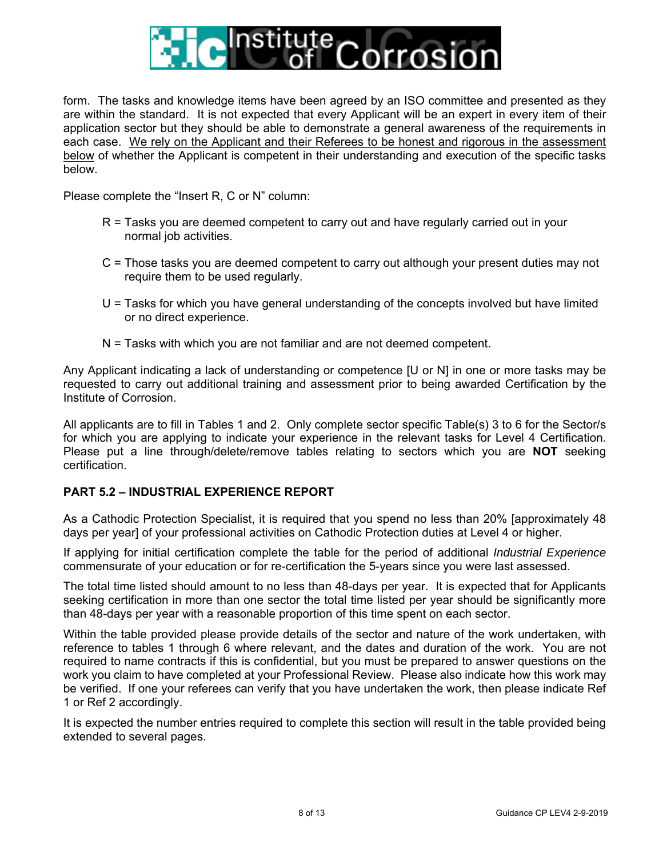

form. The tasks and knowledge items have been agreed by an ISO committee and presented as they are within the standard. It is not expected that every Applicant will be an expert in every item of their application sector but they should be able to demonstrate a general awareness of the requirements in each case. We rely on the Applicant and their Referees to be honest and rigorous in the assessment below of whether the Applicant is competent in their understanding and execution of the specific tasks below.

Please complete the "Insert R, C or N" column:

- R = Tasks you are deemed competent to carry out and have regularly carried out in your normal job activities.
- C = Those tasks you are deemed competent to carry out although your present duties may not require them to be used regularly.
- U = Tasks for which you have general understanding of the concepts involved but have limited or no direct experience.
- N = Tasks with which you are not familiar and are not deemed competent.

Any Applicant indicating a lack of understanding or competence [U or N] in one or more tasks may be requested to carry out additional training and assessment prior to being awarded Certification by the Institute of Corrosion.

All applicants are to fill in Tables 1 and 2. Only complete sector specific Table(s) 3 to 6 for the Sector/s for which you are applying to indicate your experience in the relevant tasks for Level 4 Certification. Please put a line through/delete/remove tables relating to sectors which you are **NOT** seeking certification.

#### **PART 5.2 – INDUSTRIAL EXPERIENCE REPORT**

As a Cathodic Protection Specialist, it is required that you spend no less than 20% [approximately 48 days per year] of your professional activities on Cathodic Protection duties at Level 4 or higher.

If applying for initial certification complete the table for the period of additional *Industrial Experience* commensurate of your education or for re-certification the 5-years since you were last assessed.

The total time listed should amount to no less than 48-days per year. It is expected that for Applicants seeking certification in more than one sector the total time listed per year should be significantly more than 48-days per year with a reasonable proportion of this time spent on each sector.

Within the table provided please provide details of the sector and nature of the work undertaken, with reference to tables 1 through 6 where relevant, and the dates and duration of the work. You are not required to name contracts if this is confidential, but you must be prepared to answer questions on the work you claim to have completed at your Professional Review. Please also indicate how this work may be verified. If one your referees can verify that you have undertaken the work, then please indicate Ref 1 or Ref 2 accordingly.

It is expected the number entries required to complete this section will result in the table provided being extended to several pages.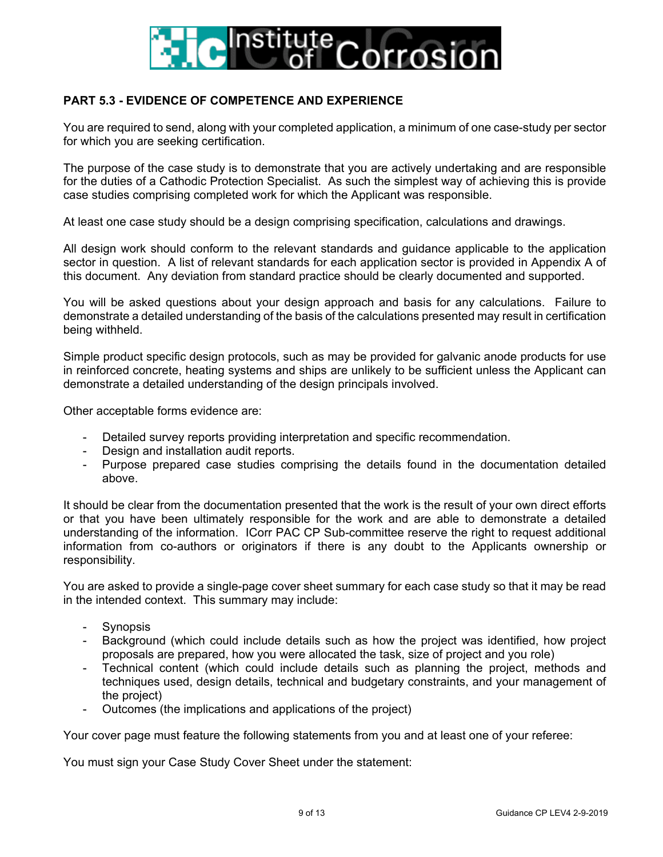

## **PART 5.3 - EVIDENCE OF COMPETENCE AND EXPERIENCE**

You are required to send, along with your completed application, a minimum of one case-study per sector for which you are seeking certification.

The purpose of the case study is to demonstrate that you are actively undertaking and are responsible for the duties of a Cathodic Protection Specialist. As such the simplest way of achieving this is provide case studies comprising completed work for which the Applicant was responsible.

At least one case study should be a design comprising specification, calculations and drawings.

All design work should conform to the relevant standards and guidance applicable to the application sector in question. A list of relevant standards for each application sector is provided in Appendix A of this document. Any deviation from standard practice should be clearly documented and supported.

You will be asked questions about your design approach and basis for any calculations. Failure to demonstrate a detailed understanding of the basis of the calculations presented may result in certification being withheld.

Simple product specific design protocols, such as may be provided for galvanic anode products for use in reinforced concrete, heating systems and ships are unlikely to be sufficient unless the Applicant can demonstrate a detailed understanding of the design principals involved.

Other acceptable forms evidence are:

- Detailed survey reports providing interpretation and specific recommendation.
- Design and installation audit reports.
- Purpose prepared case studies comprising the details found in the documentation detailed above.

It should be clear from the documentation presented that the work is the result of your own direct efforts or that you have been ultimately responsible for the work and are able to demonstrate a detailed understanding of the information. ICorr PAC CP Sub-committee reserve the right to request additional information from co-authors or originators if there is any doubt to the Applicants ownership or responsibility.

You are asked to provide a single-page cover sheet summary for each case study so that it may be read in the intended context. This summary may include:

- **Synopsis**
- Background (which could include details such as how the project was identified, how project proposals are prepared, how you were allocated the task, size of project and you role)
- Technical content (which could include details such as planning the project, methods and techniques used, design details, technical and budgetary constraints, and your management of the project)
- Outcomes (the implications and applications of the project)

Your cover page must feature the following statements from you and at least one of your referee:

You must sign your Case Study Cover Sheet under the statement: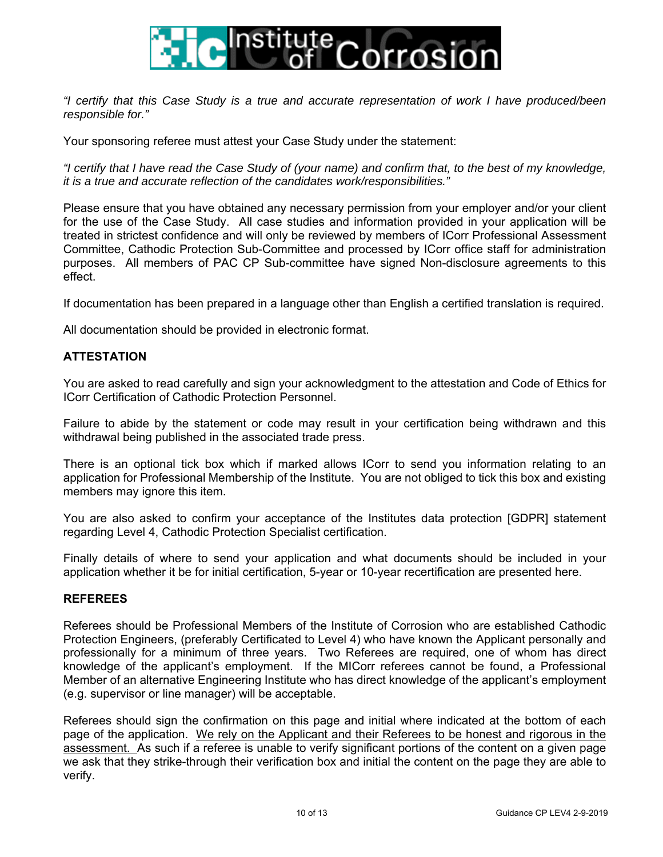

*"I certify that this Case Study is a true and accurate representation of work I have produced/been responsible for."* 

Your sponsoring referee must attest your Case Study under the statement:

*"I certify that I have read the Case Study of (your name) and confirm that, to the best of my knowledge, it is a true and accurate reflection of the candidates work/responsibilities."* 

Please ensure that you have obtained any necessary permission from your employer and/or your client for the use of the Case Study. All case studies and information provided in your application will be treated in strictest confidence and will only be reviewed by members of ICorr Professional Assessment Committee, Cathodic Protection Sub-Committee and processed by ICorr office staff for administration purposes. All members of PAC CP Sub-committee have signed Non-disclosure agreements to this effect.

If documentation has been prepared in a language other than English a certified translation is required.

All documentation should be provided in electronic format.

#### **ATTESTATION**

You are asked to read carefully and sign your acknowledgment to the attestation and Code of Ethics for ICorr Certification of Cathodic Protection Personnel.

Failure to abide by the statement or code may result in your certification being withdrawn and this withdrawal being published in the associated trade press.

There is an optional tick box which if marked allows ICorr to send you information relating to an application for Professional Membership of the Institute. You are not obliged to tick this box and existing members may ignore this item.

You are also asked to confirm your acceptance of the Institutes data protection [GDPR] statement regarding Level 4, Cathodic Protection Specialist certification.

Finally details of where to send your application and what documents should be included in your application whether it be for initial certification, 5-year or 10-year recertification are presented here.

#### **REFEREES**

Referees should be Professional Members of the Institute of Corrosion who are established Cathodic Protection Engineers, (preferably Certificated to Level 4) who have known the Applicant personally and professionally for a minimum of three years. Two Referees are required, one of whom has direct knowledge of the applicant's employment. If the MICorr referees cannot be found, a Professional Member of an alternative Engineering Institute who has direct knowledge of the applicant's employment (e.g. supervisor or line manager) will be acceptable.

Referees should sign the confirmation on this page and initial where indicated at the bottom of each page of the application. We rely on the Applicant and their Referees to be honest and rigorous in the assessment. As such if a referee is unable to verify significant portions of the content on a given page we ask that they strike-through their verification box and initial the content on the page they are able to verify.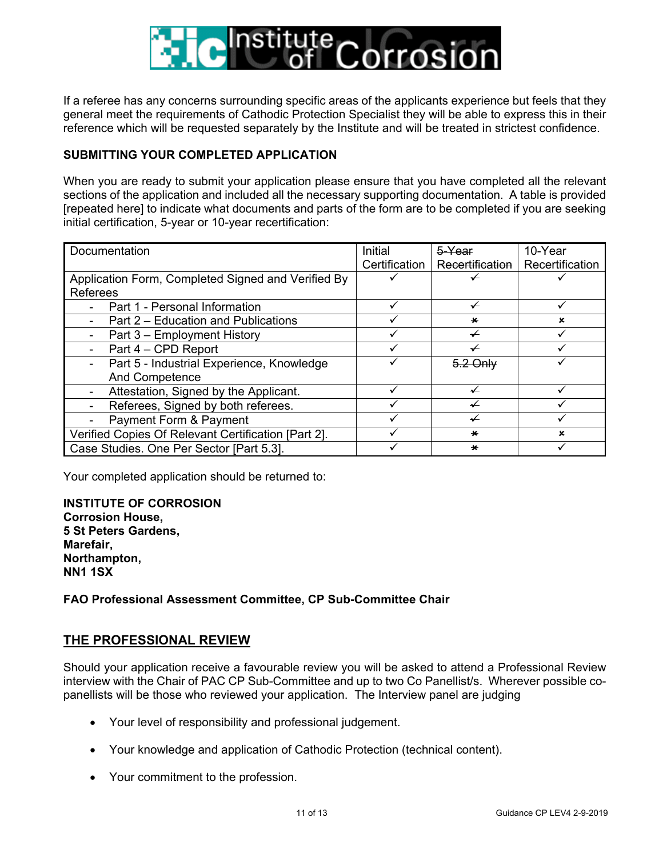

If a referee has any concerns surrounding specific areas of the applicants experience but feels that they general meet the requirements of Cathodic Protection Specialist they will be able to express this in their reference which will be requested separately by the Institute and will be treated in strictest confidence.

### **SUBMITTING YOUR COMPLETED APPLICATION**

When you are ready to submit your application please ensure that you have completed all the relevant sections of the application and included all the necessary supporting documentation. A table is provided [repeated here] to indicate what documents and parts of the form are to be completed if you are seeking initial certification, 5-year or 10-year recertification:

| Documentation                                       | Initial       | 5-Year          | 10-Year         |
|-----------------------------------------------------|---------------|-----------------|-----------------|
|                                                     | Certification | Recertification | Recertification |
| Application Form, Completed Signed and Verified By  |               |                 |                 |
| <b>Referees</b>                                     |               |                 |                 |
| Part 1 - Personal Information                       |               | ✓               |                 |
| Part 2 – Education and Publications                 |               | $\star$         | $\mathbf x$     |
| Part 3 – Employment History                         |               | ↵               |                 |
| Part 4 – CPD Report                                 |               |                 |                 |
| Part 5 - Industrial Experience, Knowledge           |               | 5.2 Only        |                 |
| And Competence                                      |               |                 |                 |
| Attestation, Signed by the Applicant.               |               |                 |                 |
| Referees, Signed by both referees.                  |               | ✔               |                 |
| Payment Form & Payment                              |               | ↵               |                 |
| Verified Copies Of Relevant Certification [Part 2]. |               | $\star$         | ×               |
| Case Studies. One Per Sector [Part 5.3].            |               | $\star$         |                 |

Your completed application should be returned to:

**INSTITUTE OF CORROSION Corrosion House, 5 St Peters Gardens, Marefair, Northampton, NN1 1SX** 

#### **FAO Professional Assessment Committee, CP Sub-Committee Chair**

#### **THE PROFESSIONAL REVIEW**

Should your application receive a favourable review you will be asked to attend a Professional Review interview with the Chair of PAC CP Sub-Committee and up to two Co Panellist/s. Wherever possible copanellists will be those who reviewed your application. The Interview panel are judging

- Your level of responsibility and professional judgement.
- Your knowledge and application of Cathodic Protection (technical content).
- Your commitment to the profession.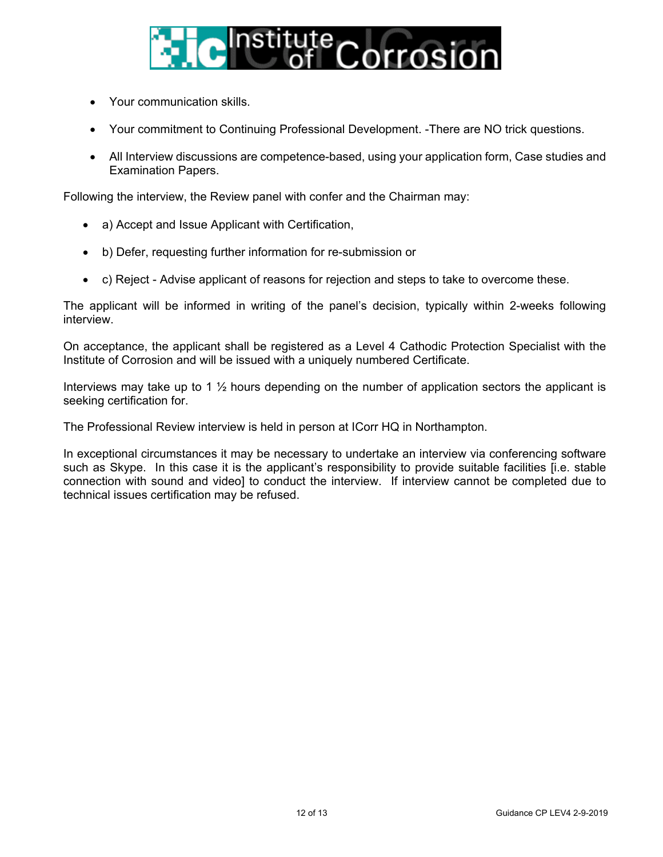

- Your communication skills.
- Your commitment to Continuing Professional Development. -There are NO trick questions.
- All Interview discussions are competence-based, using your application form, Case studies and Examination Papers.

Following the interview, the Review panel with confer and the Chairman may:

- a) Accept and Issue Applicant with Certification,
- b) Defer, requesting further information for re-submission or
- c) Reject Advise applicant of reasons for rejection and steps to take to overcome these.

The applicant will be informed in writing of the panel's decision, typically within 2-weeks following interview.

On acceptance, the applicant shall be registered as a Level 4 Cathodic Protection Specialist with the Institute of Corrosion and will be issued with a uniquely numbered Certificate.

Interviews may take up to 1  $\frac{1}{2}$  hours depending on the number of application sectors the applicant is seeking certification for.

The Professional Review interview is held in person at ICorr HQ in Northampton.

In exceptional circumstances it may be necessary to undertake an interview via conferencing software such as Skype. In this case it is the applicant's responsibility to provide suitable facilities [i.e. stable connection with sound and video] to conduct the interview. If interview cannot be completed due to technical issues certification may be refused.